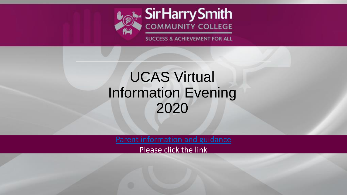

### UCAS Virtual Information Evening 2020

[Parent information and guidance](https://www.ucas.com/file/325546/download?token=E7i9d-wu)

Please click the link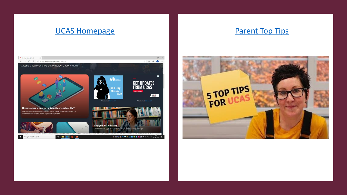### [UCAS Homepage](https://www.ucas.com/ucas-undergraduate-apply-and-track) [Parent Top Tips](https://www.youtube.com/watch?v=x39fph_5anY)



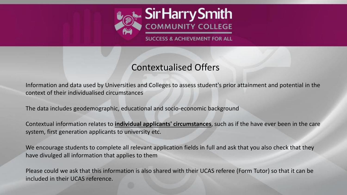

### Contextualised Offers

Information and data used by Universities and Colleges to assess student's prior attainment and potential in the context of their individualised circumstances

The data includes geodemographic, educational and socio-economic background

Contextual information relates to **individual applicants' circumstances**, such as if the have ever been in the care system, first generation applicants to university etc.

We encourage students to complete all relevant application fields in full and ask that you also check that they have divulged all information that applies to them

Please could we ask that this information is also shared with their UCAS referee (Form Tutor) so that it can be included in their UCAS reference.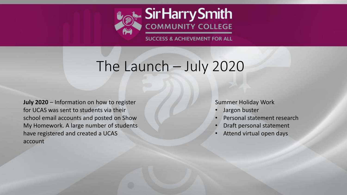

### The Launch – July 2020

**July 2020** – Information on how to register for UCAS was sent to students via their school email accounts and posted on Show My Homework. A large number of students have registered and created a UCAS account

#### Summer Holiday Work

- Jargon buster
- Personal statement research
- Draft personal statement
- Attend virtual open days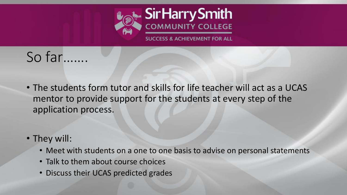

### So far…….

- The students form tutor and skills for life teacher will act as a UCAS mentor to provide support for the students at every step of the application process.
- They will:
	- Meet with students on a one to one basis to advise on personal statements
	- Talk to them about course choices
	- Discuss their UCAS predicted grades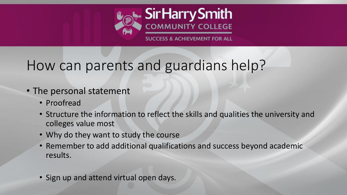

## How can parents and guardians help?

- The personal statement
	- Proofread
	- Structure the information to reflect the skills and qualities the university and colleges value most
	- Why do they want to study the course
	- Remember to add additional qualifications and success beyond academic results.
	- Sign up and attend virtual open days.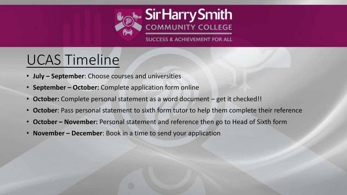

## UCAS Timeline

- **July – September**: Choose courses and universities
- **September – October:** Complete application form online
- **October:** Complete personal statement as a word document get it checked!!
- **October**: Pass personal statement to sixth form tutor to help them complete their reference
- **October – November:** Personal statement and reference then go to Head of Sixth form
- **November – December**: Book in a time to send your application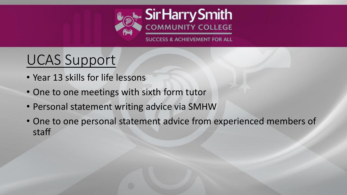

# UCAS Support

- Year 13 skills for life lessons
- One to one meetings with sixth form tutor
- Personal statement writing advice via SMHW
- One to one personal statement advice from experienced members of staff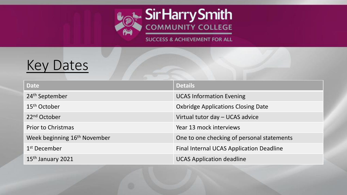

### Key Dates

| <b>Date</b>                              | <b>Details</b>                                  |
|------------------------------------------|-------------------------------------------------|
| 24 <sup>th</sup> September               | <b>UCAS Information Evening</b>                 |
| $15th$ October                           | <b>Oxbridge Applications Closing Date</b>       |
| 22 <sup>nd</sup> October                 | Virtual tutor day - UCAS advice                 |
| <b>Prior to Christmas</b>                | Year 13 mock interviews                         |
| Week beginning 16 <sup>th</sup> November | One to one checking of personal statements      |
| 1 <sup>st</sup> December                 | <b>Final Internal UCAS Application Deadline</b> |
| 15th January 2021                        | <b>UCAS Application deadline</b>                |